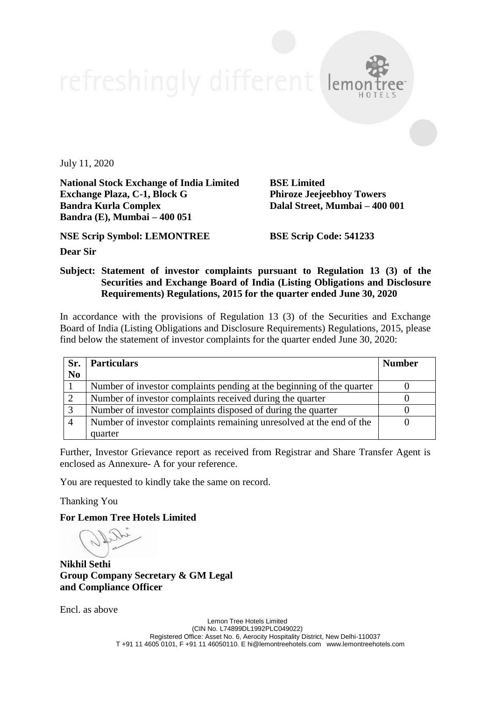July 11, 2020

**National Stock Exchange of India Limited BSE Limited Exchange Plaza, C-1, Block G Phiroze Jeejeebhoy Towers Bandra Kurla Complex Dalal Street, Mumbai – 400 001 Bandra (E), Mumbai – 400 051**

**NSE Scrip Symbol: LEMONTREE BSE Scrip Code: 541233**

**Dear Sir**

## **Subject: Statement of investor complaints pursuant to Regulation 13 (3) of the Securities and Exchange Board of India (Listing Obligations and Disclosure Requirements) Regulations, 2015 for the quarter ended June 30, 2020**

In accordance with the provisions of Regulation 13 (3) of the Securities and Exchange Board of India (Listing Obligations and Disclosure Requirements) Regulations, 2015, please find below the statement of investor complaints for the quarter ended June 30, 2020:

| Sr.            | <b>Particulars</b>                                                    | <b>Number</b> |
|----------------|-----------------------------------------------------------------------|---------------|
| N <sub>0</sub> |                                                                       |               |
|                | Number of investor complaints pending at the beginning of the quarter |               |
|                | Number of investor complaints received during the quarter             |               |
|                | Number of investor complaints disposed of during the quarter          |               |
|                | Number of investor complaints remaining unresolved at the end of the  |               |
|                | quarter                                                               |               |

Further, Investor Grievance report as received from Registrar and Share Transfer Agent is enclosed as Annexure- A for your reference.

You are requested to kindly take the same on record.

Thanking You

**For Lemon Tree Hotels Limited**

**Nikhil Sethi Group Company Secretary & GM Legal and Compliance Officer**

Encl. as above